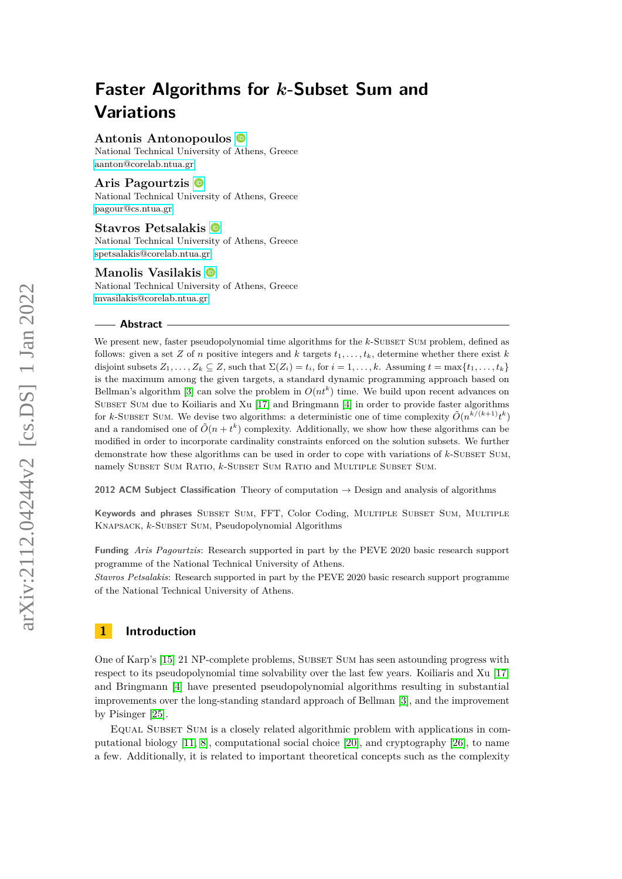## **Antonis Antonopoulos**

National Technical University of Athens, Greece [aanton@corelab.ntua.gr](mailto:aanton@corelab.ntua.gr)

### **Aris Pagourtzis**

National Technical University of Athens, Greece [pagour@cs.ntua.gr](mailto:pagour@cs.ntua.gr)

#### **Stavros Petsalakis**

National Technical University of Athens, Greece [spetsalakis@corelab.ntua.gr](mailto:spetsalakis@corelab.ntua.gr)

#### **Manolis Vasilakis**

National Technical University of Athens, Greece [mvasilakis@corelab.ntua.gr](mailto:mvasilakis@corelab.ntua.gr)

#### **Abstract**

We present new, faster pseudopolynomial time algorithms for the *k*-SUBSET SUM problem, defined as follows: given a set *Z* of *n* positive integers and *k* targets  $t_1, \ldots, t_k$ , determine whether there exist *k* disjoint subsets  $Z_1, \ldots, Z_k \subseteq Z$ , such that  $\Sigma(Z_i) = t_i$ , for  $i = 1, \ldots, k$ . Assuming  $t = \max\{t_1, \ldots, t_k\}$ is the maximum among the given targets, a standard dynamic programming approach based on Bellman's algorithm [\[3\]](#page-16-0) can solve the problem in  $O(nt^k)$  time. We build upon recent advances on SUBSET SUM due to Koiliaris and Xu [\[17\]](#page-17-0) and Bringmann [\[4\]](#page-16-1) in order to provide faster algorithms for *k*-SUBSET SUM. We devise two algorithms: a deterministic one of time complexity  $\tilde{O}(n^{k/(k+1)}t^k)$ and a randomised one of  $\tilde{O}(n + t^k)$  complexity. Additionally, we show how these algorithms can be modified in order to incorporate cardinality constraints enforced on the solution subsets. We further demonstrate how these algorithms can be used in order to cope with variations of  $k$ -Subset Sum, namely SUBSET SUM RATIO, *k*-SUBSET SUM RATIO and MULTIPLE SUBSET SUM.

**2012 ACM Subject Classification** Theory of computation → Design and analysis of algorithms

**Keywords and phrases** Subset Sum, FFT, Color Coding, Multiple Subset Sum, Multiple Knapsack, *k*-Subset Sum, Pseudopolynomial Algorithms

**Funding** *Aris Pagourtzis*: Research supported in part by the PEVE 2020 basic research support programme of the National Technical University of Athens.

*Stavros Petsalakis*: Research supported in part by the PEVE 2020 basic research support programme of the National Technical University of Athens.

## **1 Introduction**

One of Karp's [\[15\]](#page-16-2) 21 NP-complete problems, Subset Sum has seen astounding progress with respect to its pseudopolynomial time solvability over the last few years. Koiliaris and Xu [\[17\]](#page-17-0) and Bringmann [\[4\]](#page-16-1) have presented pseudopolynomial algorithms resulting in substantial improvements over the long-standing standard approach of Bellman [\[3\]](#page-16-0), and the improvement by Pisinger [\[25\]](#page-17-1).

Equal Subset Sum is a closely related algorithmic problem with applications in computational biology [\[11,](#page-16-3) [8\]](#page-16-4), computational social choice [\[20\]](#page-17-2), and cryptography [\[26\]](#page-17-3), to name a few. Additionally, it is related to important theoretical concepts such as the complexity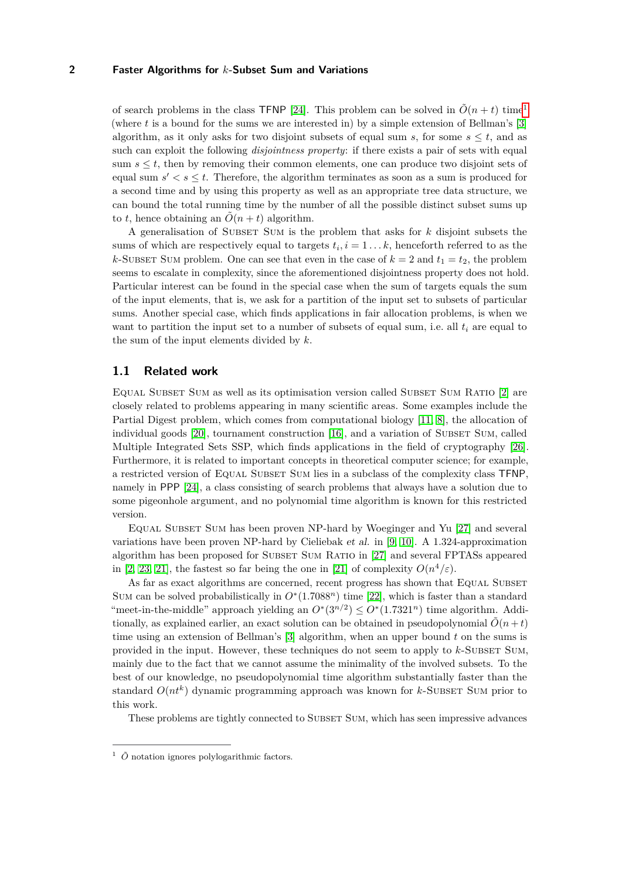of search problems in the class TFNP [\[24\]](#page-17-4). This problem can be solved in  $\tilde{O}(n + t)$  time<sup>[1](#page-1-0)</sup> (where *t* is a bound for the sums we are interested in) by a simple extension of Bellman's [\[3\]](#page-16-0) algorithm, as it only asks for two disjoint subsets of equal sum *s*, for some  $s \leq t$ , and as such can exploit the following *disjointness property*: if there exists a pair of sets with equal sum  $s \leq t$ , then by removing their common elements, one can produce two disjoint sets of equal sum  $s' < s \leq t$ . Therefore, the algorithm terminates as soon as a sum is produced for a second time and by using this property as well as an appropriate tree data structure, we can bound the total running time by the number of all the possible distinct subset sums up to *t*, hence obtaining an  $\tilde{O}(n + t)$  algorithm.

A generalisation of Subset Sum is the problem that asks for *k* disjoint subsets the sums of which are respectively equal to targets  $t_i$ ,  $i = 1...k$ , henceforth referred to as the *k*-SUBSET SUM problem. One can see that even in the case of  $k = 2$  and  $t_1 = t_2$ , the problem seems to escalate in complexity, since the aforementioned disjointness property does not hold. Particular interest can be found in the special case when the sum of targets equals the sum of the input elements, that is, we ask for a partition of the input set to subsets of particular sums. Another special case, which finds applications in fair allocation problems, is when we want to partition the input set to a number of subsets of equal sum, i.e. all  $t_i$  are equal to the sum of the input elements divided by *k*.

## **1.1 Related work**

EQUAL SUBSET SUM as well as its optimisation version called SUBSET SUM RATIO [\[2\]](#page-16-5) are closely related to problems appearing in many scientific areas. Some examples include the Partial Digest problem, which comes from computational biology [\[11,](#page-16-3) [8\]](#page-16-4), the allocation of individual goods [\[20\]](#page-17-2), tournament construction [\[16\]](#page-16-6), and a variation of SUBSET SUM, called Multiple Integrated Sets SSP, which finds applications in the field of cryptography [\[26\]](#page-17-3). Furthermore, it is related to important concepts in theoretical computer science; for example, a restricted version of Equal Subset Sum lies in a subclass of the complexity class TFNP, namely in PPP [\[24\]](#page-17-4), a class consisting of search problems that always have a solution due to some pigeonhole argument, and no polynomial time algorithm is known for this restricted version.

Equal Subset Sum has been proven NP-hard by Woeginger and Yu [\[27\]](#page-17-5) and several variations have been proven NP-hard by Cieliebak et al. in [\[9,](#page-16-7) [10\]](#page-16-8). A 1.324-approximation algorithm has been proposed for Subset Sum Ratio in [\[27\]](#page-17-5) and several FPTASs appeared in [\[2,](#page-16-5) [23,](#page-17-6) [21\]](#page-17-7), the fastest so far being the one in [\[21\]](#page-17-7) of complexity  $O(n^4/\varepsilon)$ .

As far as exact algorithms are concerned, recent progress has shown that EQUAL SUBSET Sum can be solved probabilistically in  $O<sup>*</sup>(1.7088<sup>n</sup>)$  time [\[22\]](#page-17-8), which is faster than a standard "meet-in-the-middle" approach yielding an  $O^*(3^{n/2}) \leq O^*(1.7321^n)$  time algorithm. Additionally, as explained earlier, an exact solution can be obtained in pseudopolynomial  $\tilde{O}(n + t)$ time using an extension of Bellman's [\[3\]](#page-16-0) algorithm, when an upper bound *t* on the sums is provided in the input. However, these techniques do not seem to apply to  $k$ -Subset Sum, mainly due to the fact that we cannot assume the minimality of the involved subsets. To the best of our knowledge, no pseudopolynomial time algorithm substantially faster than the standard  $O(nt^k)$  dynamic programming approach was known for  $k$ -SUBSET SUM prior to this work.

These problems are tightly connected to SUBSET SUM, which has seen impressive advances

<span id="page-1-0"></span> $\frac{1}{2}$   $\tilde{O}$  notation ignores polylogarithmic factors.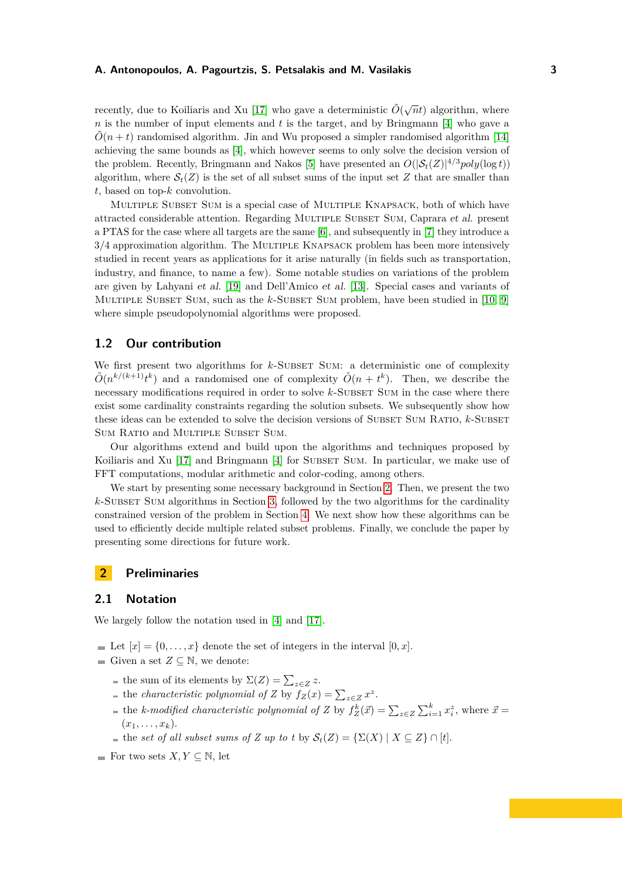recently, due to Koiliaris and Xu [\[17\]](#page-17-0) who gave a deterministic  $\tilde{O}(\sqrt{n}t)$  algorithm, where *n* is the number of input elements and *t* is the target, and by Bringmann [\[4\]](#page-16-1) who gave a  $\tilde{O}(n + t)$  randomised algorithm. Jin and Wu proposed a simpler randomised algorithm [\[14\]](#page-16-9) achieving the same bounds as [\[4\]](#page-16-1), which however seems to only solve the decision version of the problem. Recently, Bringmann and Nakos [\[5\]](#page-16-10) have presented an  $O(|\mathcal{S}_t(Z)|^{4/3} poly(\log t))$ algorithm, where  $S_t(Z)$  is the set of all subset sums of the input set Z that are smaller than *t*, based on top-*k* convolution.

Multiple Subset Sum is a special case of Multiple Knapsack, both of which have attracted considerable attention. Regarding MULTIPLE SUBSET SUM, Caprara et al. present a PTAS for the case where all targets are the same [\[6\]](#page-16-11), and subsequently in [\[7\]](#page-16-12) they introduce a  $3/4$  approximation algorithm. The MULTIPLE KNAPSACK problem has been more intensively studied in recent years as applications for it arise naturally (in fields such as transportation, industry, and finance, to name a few). Some notable studies on variations of the problem are given by Lahyani et al. [\[19\]](#page-17-9) and Dell'Amico et al. [\[13\]](#page-16-13). Special cases and variants of MULTIPLE SUBSET SUM, such as the *k*-SUBSET SUM problem, have been studied in [\[10,](#page-16-8) [9\]](#page-16-7) where simple pseudopolynomial algorithms were proposed.

## **1.2 Our contribution**

We first present two algorithms for *k*-SUBSET SUM: a deterministic one of complexity  $\tilde{O}(n^{k/(k+1)}t^k)$  and a randomised one of complexity  $\tilde{O}(n + t^k)$ . Then, we describe the necessary modifications required in order to solve *k*-SUBSET SUM in the case where there exist some cardinality constraints regarding the solution subsets. We subsequently show how these ideas can be extended to solve the decision versions of SUBSET SUM RATIO,  $k$ -SUBSET SUM RATIO and MULTIPLE SUBSET SUM.

Our algorithms extend and build upon the algorithms and techniques proposed by Koiliaris and Xu [\[17\]](#page-17-0) and Bringmann [\[4\]](#page-16-1) for SUBSET SUM. In particular, we make use of FFT computations, modular arithmetic and color-coding, among others.

We start by presenting some necessary background in Section [2.](#page-2-0) Then, we present the two  $k$ -Subset Sum algorithms in Section [3,](#page-3-0) followed by the two algorithms for the cardinality constrained version of the problem in Section [4.](#page-10-0) We next show how these algorithms can be used to efficiently decide multiple related subset problems. Finally, we conclude the paper by presenting some directions for future work.

## <span id="page-2-0"></span>**2 Preliminaries**

## **2.1 Notation**

We largely follow the notation used in [\[4\]](#page-16-1) and [\[17\]](#page-17-0).

- Let  $[x] = \{0, \ldots, x\}$  denote the set of integers in the interval  $[0, x]$ .
- Given a set  $Z \subseteq \mathbb{N}$ , we denote:
	- the sum of its elements by  $\Sigma(Z) = \sum_{z \in Z} z$ .
	- the *characteristic polynomial of Z* by  $f_Z(x) = \sum_{z \in Z} x^z$ .
	- the *k*-modified characteristic polynomial of Z by  $f_Z^k(\vec{x}) = \sum_{z \in Z} \sum_{i=1}^k x_i^z$ , where  $\vec{x} =$  $(x_1, \ldots, x_k)$ .
	- $\blacksquare$  the *set of all subset sums of Z up to t* by  $\mathcal{S}_t(Z) = \{\Sigma(X) \mid X \subseteq Z\} \cap [t].$
- For two sets  $X, Y \subseteq \mathbb{N}$ , let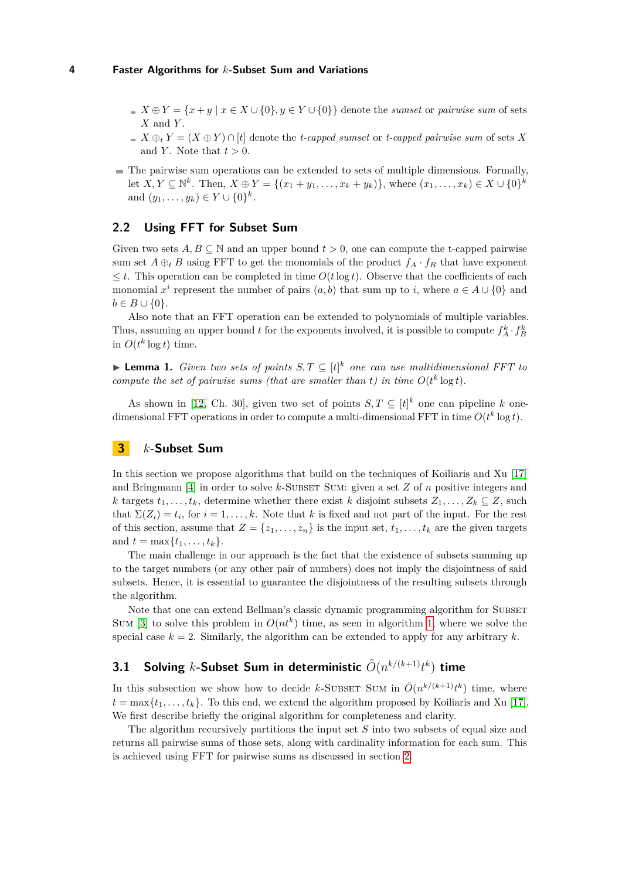- $X \oplus Y = \{x + y \mid x \in X \cup \{0\}, y \in Y \cup \{0\}\}\$  denote the *sumset* or *pairwise sum* of sets *X* and *Y* .
- $X \oplus_t Y = (X \oplus Y) \cap [t]$  denote the *t-capped sumset* or *t-capped pairwise sum* of sets X and *Y*. Note that  $t > 0$ .
- $\blacksquare$  The pairwise sum operations can be extended to sets of multiple dimensions. Formally, let  $X, Y \subseteq \mathbb{N}^k$ . Then,  $X \oplus Y = \{(x_1 + y_1, \ldots, x_k + y_k)\}$ , where  $(x_1, \ldots, x_k) \in X \cup \{0\}^k$ and  $(y_1, ..., y_k) \in Y \cup \{0\}^k$ .

## **2.2 Using FFT for Subset Sum**

Given two sets  $A, B \subseteq \mathbb{N}$  and an upper bound  $t > 0$ , one can compute the t-capped pairwise sum set  $A \oplus_t B$  using FFT to get the monomials of the product  $f_A \cdot f_B$  that have exponent  $\leq t$ . This operation can be completed in time  $O(t \log t)$ . Observe that the coefficients of each monomial  $x^i$  represent the number of pairs  $(a, b)$  that sum up to *i*, where  $a \in A \cup \{0\}$  and  $b \in B \cup \{0\}.$ 

Also note that an FFT operation can be extended to polynomials of multiple variables. Thus, assuming an upper bound *t* for the exponents involved, it is possible to compute  $f_A^k \cdot f_B^k$ in  $O(t^k \log t)$  time.

▶ **Lemma 1.** *Given two sets of points*  $S, T \subseteq [t]^k$  *one can use multidimensional FFT to compute the set of pairwise sums (that are smaller than t) in time*  $O(t^k \log t)$ *.* 

As shown in [\[12,](#page-16-14) Ch. 30], given two set of points  $S, T \subseteq [t]^k$  one can pipeline k onedimensional FFT operations in order to compute a multi-dimensional FFT in time  $O(t^k \log t)$ .

## <span id="page-3-0"></span>**3** *k***-Subset Sum**

In this section we propose algorithms that build on the techniques of Koiliaris and Xu [\[17\]](#page-17-0) and Bringmann [\[4\]](#page-16-1) in order to solve *k*-SUBSET SUM: given a set *Z* of *n* positive integers and *k* targets  $t_1, \ldots, t_k$ , determine whether there exist *k* disjoint subsets  $Z_1, \ldots, Z_k \subseteq Z$ , such that  $\Sigma(Z_i) = t_i$ , for  $i = 1, \ldots, k$ . Note that k is fixed and not part of the input. For the rest of this section, assume that  $Z = \{z_1, \ldots, z_n\}$  is the input set,  $t_1, \ldots, t_k$  are the given targets and  $t = \max\{t_1, \ldots, t_k\}.$ 

The main challenge in our approach is the fact that the existence of subsets summing up to the target numbers (or any other pair of numbers) does not imply the disjointness of said subsets. Hence, it is essential to guarantee the disjointness of the resulting subsets through the algorithm.

Note that one can extend Bellman's classic dynamic programming algorithm for SUBSET SUM [\[3\]](#page-16-0) to solve this problem in  $O(nt^k)$  time, as seen in algorithm [1,](#page-4-0) where we solve the special case  $k = 2$ . Similarly, the algorithm can be extended to apply for any arbitrary  $k$ .

## <span id="page-3-1"></span>3.1 Solving *k*-Subset Sum in deterministic  $\tilde{O}(n^{k/(k+1)}t^k)$  time

In this subsection we show how to decide *k*-SUBSET SUM in  $\tilde{O}(n^{k/(k+1)}t^k)$  time, where  $t = \max\{t_1, \ldots, t_k\}$ . To this end, we extend the algorithm proposed by Koiliaris and Xu [\[17\]](#page-17-0). We first describe briefly the original algorithm for completeness and clarity.

The algorithm recursively partitions the input set *S* into two subsets of equal size and returns all pairwise sums of those sets, along with cardinality information for each sum. This is achieved using FFT for pairwise sums as discussed in section [2.](#page-2-0)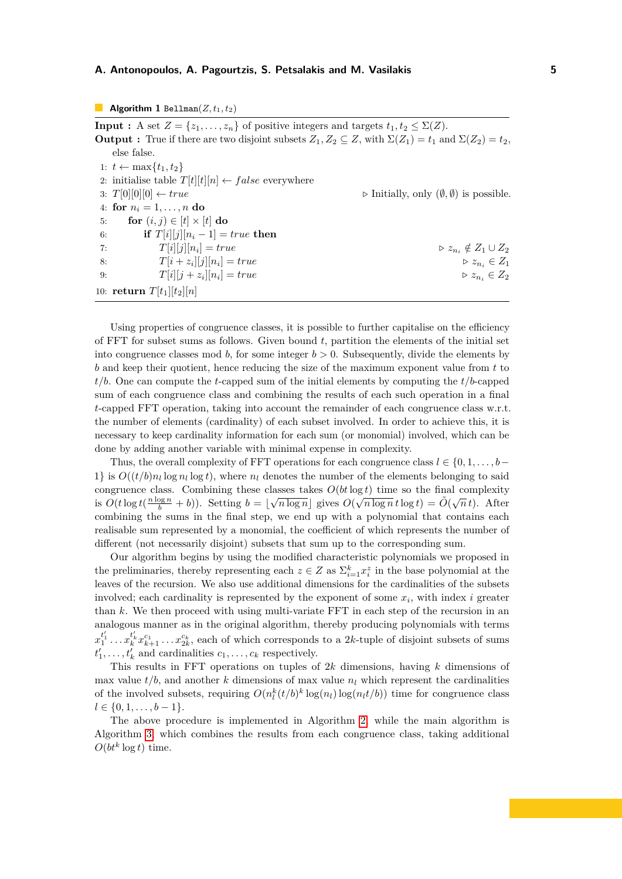#### <span id="page-4-0"></span>**Algorithm 1** Bellman $(Z, t_1, t_2)$

**Input :** A set  $Z = \{z_1, \ldots, z_n\}$  of positive integers and targets  $t_1, t_2 \leq \Sigma(Z)$ . **Output :** True if there are two disjoint subsets  $Z_1, Z_2 \subseteq Z$ , with  $\Sigma(Z_1) = t_1$  and  $\Sigma(Z_2) = t_2$ , else false. 1:  $t$  ← max $\{t_1, t_2\}$ 2: initialise table  $T[t][t][n] \leftarrow false$  everywhere 3:  $T[0][0][0] \leftarrow true$  . Initially, only  $(\emptyset, \emptyset)$  is possible. 4: **for**  $n_i = 1, ..., n$  **do** 5: **for**  $(i, j) \in [t] \times [t]$  do 6: **if**  $T[i][j][n_i - 1] = true$  **then** 7:  $T[i][j][n_i] = true$  $\triangleright z_{n_i} \notin Z_1 \cup Z_2$ 8:  $T[i + z_i][j][n_i]$  $z_{n_i} \in Z_1$ 9:  $T[i][j + z_i][n_i]$  $z_{n_i} \in Z_2$ 10: **return**  $T[t_1][t_2][n]$ 

Using properties of congruence classes, it is possible to further capitalise on the efficiency of FFT for subset sums as follows. Given bound *t*, partition the elements of the initial set into congruence classes mod *b*, for some integer  $b > 0$ . Subsequently, divide the elements by *b* and keep their quotient, hence reducing the size of the maximum exponent value from *t* to *t/b*. One can compute the *t*-capped sum of the initial elements by computing the *t/b*-capped sum of each congruence class and combining the results of each such operation in a final *t*-capped FFT operation, taking into account the remainder of each congruence class w.r.t. the number of elements (cardinality) of each subset involved. In order to achieve this, it is necessary to keep cardinality information for each sum (or monomial) involved, which can be done by adding another variable with minimal expense in complexity.

Thus, the overall complexity of FFT operations for each congruence class  $l \in \{0, 1, \ldots, b-1\}$ 1} is  $O((t/b)n_l \log n_l \log t)$ , where  $n_l$  denotes the number of the elements belonging to said congruence class. Combining these classes takes  $O(bt \log t)$  time so the final complexity is  $O(t \log t(\frac{n \log n}{b} + b))$ . Setting  $b = \lfloor \sqrt{n \log n} \rfloor$  gives  $O(\sqrt{n \log n} t \log t) = \tilde{O}(\sqrt{n} t)$ . After combining the sums in the final step, we end up with a polynomial that contains each realisable sum represented by a monomial, the coefficient of which represents the number of different (not necessarily disjoint) subsets that sum up to the corresponding sum.

Our algorithm begins by using the modified characteristic polynomials we proposed in the preliminaries, thereby representing each  $z \in Z$  as  $\sum_{i=1}^{k} x_i^z$  in the base polynomial at the leaves of the recursion. We also use additional dimensions for the cardinalities of the subsets involved; each cardinality is represented by the exponent of some  $x_i$ , with index  $i$  greater than *k*. We then proceed with using multi-variate FFT in each step of the recursion in an analogous manner as in the original algorithm, thereby producing polynomials with terms  $x_1^{t'_1} \ldots x_k^{t'_k} x_{k+1}^{c_1} \ldots x_{2k}^{c_k}$ , each of which corresponds to a 2*k*-tuple of disjoint subsets of sums  $t'_1, \ldots, t'_k$  and cardinalities  $c_1, \ldots, c_k$  respectively.

This results in FFT operations on tuples of 2*k* dimensions, having *k* dimensions of max value  $t/b$ , and another *k* dimensions of max value  $n_l$  which represent the cardinalities of the involved subsets, requiring  $O(n_l^k(t/b)^k \log(n_l) \log(n_l t/b))$  time for congruence class  $l \in \{0, 1, \ldots, b-1\}.$ 

<span id="page-4-1"></span>The above procedure is implemented in Algorithm [2,](#page-5-0) while the main algorithm is Algorithm [3,](#page-5-1) which combines the results from each congruence class, taking additional  $O(bt^k \log t)$  time.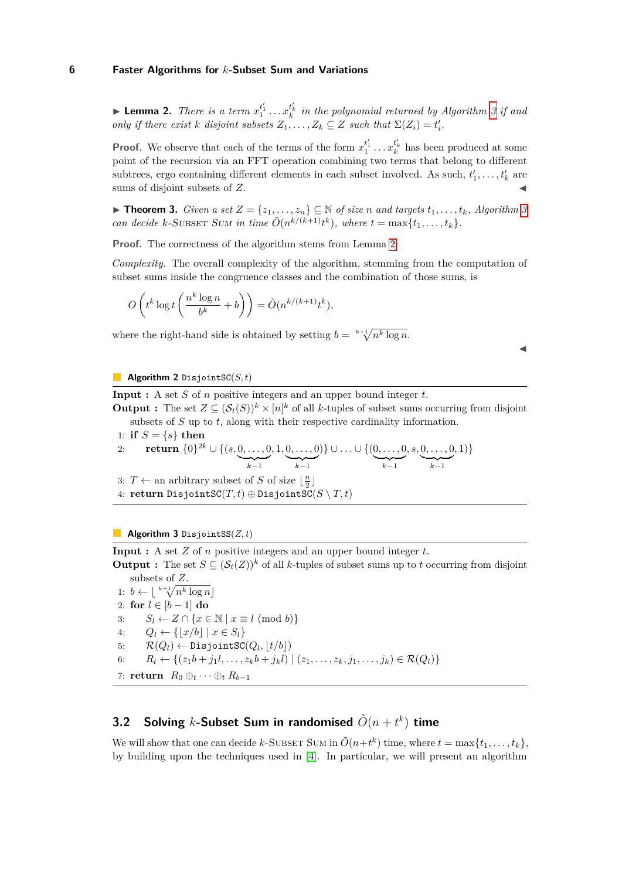**Example 2.** There is a term  $x_1^{t'_1} \ldots x_k^{t'_k}$  in the polynomial returned by Algorithm [3](#page-5-1) if and *only if there exist k disjoint subsets*  $Z_1, \ldots, Z_k \subseteq Z$  *such that*  $\Sigma(Z_i) = t'_i$ .

**Proof.** We observe that each of the terms of the form  $x_1^{t'_1} \ldots x_k^{t'_k}$  has been produced at some point of the recursion via an FFT operation combining two terms that belong to different subtrees, ergo containing different elements in each subset involved. As such,  $t'_1, \ldots, t'_k$  are sums of disjoint subsets of Z.

▶ **Theorem [3](#page-5-1).** *Given a set*  $Z = \{z_1, \ldots, z_n\}$  ⊆ *N of size n and targets*  $t_1, \ldots, t_k$ *, Algorithm 3 can decide k*-SUBSET SUM in time  $\tilde{O}(n^{k/(k+1)}t^k)$ , where  $t = \max\{t_1, \ldots, t_k\}$ .

**Proof.** The correctness of the algorithm stems from Lemma [2.](#page-4-1)

*Complexity.* The overall complexity of the algorithm, stemming from the computation of subset sums inside the congruence classes and the combination of those sums, is

$$
O\left(t^k \log t \left(\frac{n^k \log n}{b^k} + b\right)\right) = \tilde{O}(n^{k/(k+1)} t^k),
$$

where the right-hand side is obtained by setting  $b = k + \sqrt[n]{n^k \log n}$ .

 $\blacktriangleleft$ 

#### <span id="page-5-0"></span>**Algorithm 2** DisjointSC(*S, t*)

**Input :** A set *S* of *n* positive integers and an upper bound integer *t*.

**Output :** The set  $Z \subseteq (\mathcal{S}_t(S))^k \times [n]^k$  of all *k*-tuples of subset sums occurring from disjoint subsets of *S* up to *t*, along with their respective cardinality information.

1: **if**  $S = \{s\}$  **then** 

2: return 
$$
\{0\}^{2k} \cup \{(s, \underbrace{0, \ldots, 0}_{k-1}, 1, \underbrace{0, \ldots, 0}_{k-1})\} \cup \ldots \cup \{\underbrace{(0, \ldots, 0, s, \underbrace{0, \ldots, 0}_{k-1}, 1)}_{k-1}\}
$$

3:  $T \leftarrow$  an arbitrary subset of *S* of size  $\lfloor \frac{n}{2} \rfloor$ 

4: **return** DisjointSC $(T, t) \oplus$  DisjointSC $(S \setminus T, t)$ 

#### <span id="page-5-1"></span>**Algorithm 3** DisjointSS(*Z, t*)

**Input :** A set *Z* of *n* positive integers and an upper bound integer *t*.

**Output :** The set  $S \subseteq (\mathcal{S}_t(Z))^k$  of all *k*-tuples of subset sums up to *t* occurring from disjoint subsets of *Z*.

1:  $b \leftarrow \lfloor \sqrt[k+1]{n^k \log n} \rfloor$ 2: **for** *l* ∈ [*b* − 1] **do** 3:  $S_l \leftarrow Z \cap \{x \in \mathbb{N} \mid x \equiv l \pmod{b}\}\$ 4:  $Q_l \leftarrow \{|x/b| \mid x \in S_l\}$ 5:  $\mathcal{R}(Q_l) \leftarrow \texttt{DisjointSC}(Q_l, \lfloor t/b \rfloor)$ 6:  $R_l \leftarrow \{(z_1b + j_1l, \ldots, z_kb + j_kl) \mid (z_1, \ldots, z_k, j_1, \ldots, j_k) \in \mathcal{R}(Q_l)\}\$ 7: **return**  $R_0 \oplus_t \cdots \oplus_t R_{b-1}$ 

## <span id="page-5-2"></span>**3.2 Solving** *k*-Subset Sum in randomised  $\tilde{O}(n + t^k)$  time

We will show that one can decide *k*-SUBSET SUM in  $\tilde{O}(n+t^k)$  time, where  $t = \max\{t_1, \ldots, t_k\}$ , by building upon the techniques used in [\[4\]](#page-16-1). In particular, we will present an algorithm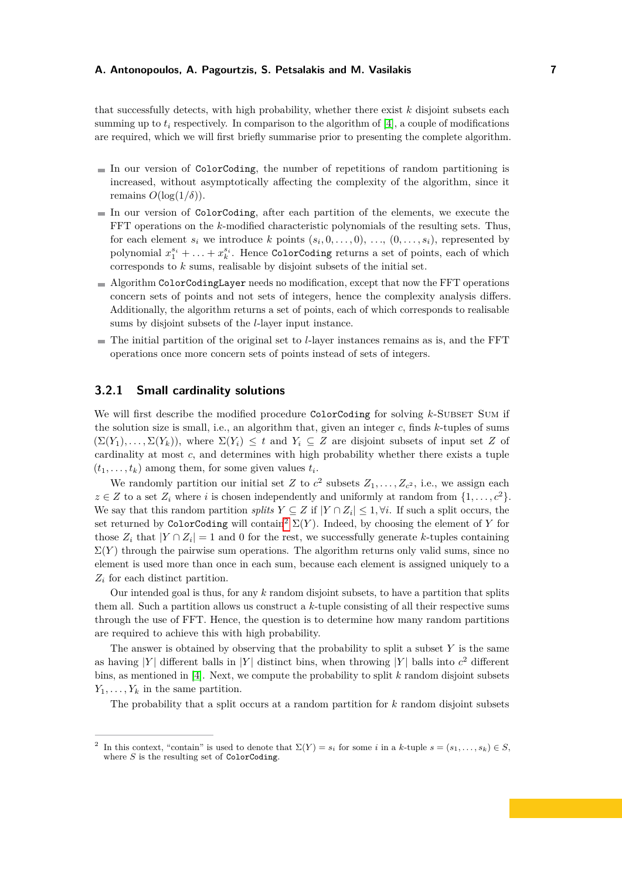that successfully detects, with high probability, whether there exist *k* disjoint subsets each summing up to  $t_i$  respectively. In comparison to the algorithm of [\[4\]](#page-16-1), a couple of modifications are required, which we will first briefly summarise prior to presenting the complete algorithm.

- $\blacksquare$  In our version of ColorCoding, the number of repetitions of random partitioning is increased, without asymptotically affecting the complexity of the algorithm, since it remains  $O(\log(1/\delta))$ .
- In our version of ColorCoding, after each partition of the elements, we execute the FFT operations on the *k*-modified characteristic polynomials of the resulting sets. Thus, for each element  $s_i$  we introduce  $k$  points  $(s_i, 0, \ldots, 0), \ldots, (0, \ldots, s_i)$ , represented by polynomial  $x_1^{s_i} + \ldots + x_k^{s_i}$ . Hence ColorCoding returns a set of points, each of which corresponds to *k* sums, realisable by disjoint subsets of the initial set.
- $\blacksquare$  Algorithm ColorCodingLayer needs no modification, except that now the FFT operations concern sets of points and not sets of integers, hence the complexity analysis differs. Additionally, the algorithm returns a set of points, each of which corresponds to realisable sums by disjoint subsets of the *l*-layer input instance.
- The initial partition of the original set to *l*-layer instances remains as is, and the FFT operations once more concern sets of points instead of sets of integers.

## **3.2.1 Small cardinality solutions**

We will first describe the modified procedure ColorCoding for solving *k*-SUBSET SUM if the solution size is small, i.e., an algorithm that, given an integer *c*, finds *k*-tuples of sums  $(\Sigma(Y_1), \ldots, \Sigma(Y_k))$ , where  $\Sigma(Y_i) \leq t$  and  $Y_i \subseteq Z$  are disjoint subsets of input set *Z* of cardinality at most *c*, and determines with high probability whether there exists a tuple  $(t_1, \ldots, t_k)$  among them, for some given values  $t_i$ .

We randomly partition our initial set *Z* to  $c^2$  subsets  $Z_1, \ldots, Z_{c^2}$ , i.e., we assign each  $z \in Z$  to a set  $Z_i$  where *i* is chosen independently and uniformly at random from  $\{1, \ldots, c^2\}$ . We say that this random partition *splits*  $Y \subseteq Z$  if  $|Y \cap Z_i| \leq 1, \forall i$ . If such a split occurs, the set returned by ColorCoding will contain<sup>[2](#page-6-0)</sup>  $\Sigma(Y)$ . Indeed, by choosing the element of *Y* for those  $Z_i$  that  $|Y \cap Z_i| = 1$  and 0 for the rest, we successfully generate *k*-tuples containing  $\Sigma(Y)$  through the pairwise sum operations. The algorithm returns only valid sums, since no element is used more than once in each sum, because each element is assigned uniquely to a *Z<sup>i</sup>* for each distinct partition.

Our intended goal is thus, for any *k* random disjoint subsets, to have a partition that splits them all. Such a partition allows us construct a *k*-tuple consisting of all their respective sums through the use of FFT. Hence, the question is to determine how many random partitions are required to achieve this with high probability.

The answer is obtained by observing that the probability to split a subset *Y* is the same as having |*Y*| different balls in |*Y*| distinct bins, when throwing |*Y*| balls into  $c^2$  different bins, as mentioned in [\[4\]](#page-16-1). Next, we compute the probability to split *k* random disjoint subsets  $Y_1, \ldots, Y_k$  in the same partition.

The probability that a split occurs at a random partition for *k* random disjoint subsets

<span id="page-6-0"></span><sup>2</sup> In this context, "contain" is used to denote that  $\Sigma(Y) = s_i$  for some *i* in a *k*-tuple  $s = (s_1, \ldots, s_k) \in S$ . where *S* is the resulting set of ColorCoding.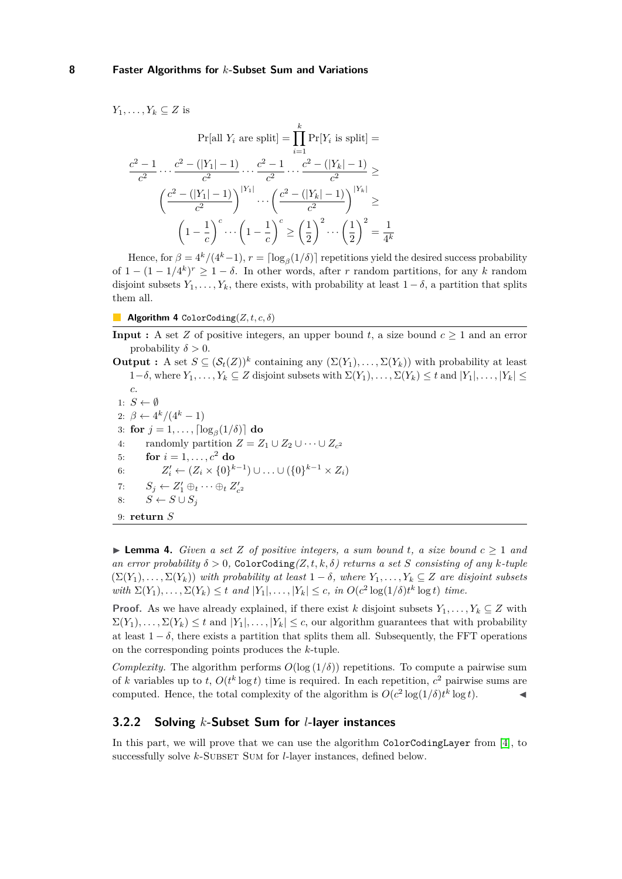*Y*<sub>1</sub>*, . . . , Y<sub><i>k*</sub>  $\subseteq$  *Z* is

$$
\Pr[\text{all } Y_i \text{ are split}] = \prod_{i=1}^{k} \Pr[Y_i \text{ is split}] =
$$
\n
$$
\frac{c^2 - 1}{c^2} \cdots \frac{c^2 - (|Y_1| - 1)}{c^2} \cdots \frac{c^2 - 1}{c^2} \cdots \frac{c^2 - (|Y_k| - 1)}{c^2} \ge
$$
\n
$$
\left(\frac{c^2 - (|Y_1| - 1)}{c^2}\right)^{|Y_1|} \cdots \left(\frac{c^2 - (|Y_k| - 1)}{c^2}\right)^{|Y_k|} \ge
$$
\n
$$
\left(1 - \frac{1}{c}\right)^c \cdots \left(1 - \frac{1}{c}\right)^c \ge \left(\frac{1}{2}\right)^2 \cdots \left(\frac{1}{2}\right)^2 = \frac{1}{4^k}
$$

Hence, for  $\beta = 4^k/(4^k-1)$ ,  $r = \lceil \log_\beta(1/\delta) \rceil$  repetitions yield the desired success probability of  $1 - (1 - 1/4^k)^r$  ≥  $1 - \delta$ . In other words, after *r* random partitions, for any *k* random disjoint subsets  $Y_1, \ldots, Y_k$ , there exists, with probability at least  $1 - \delta$ , a partition that splits them all.

**Algorithm 4** ColorCoding $(Z, t, c, \delta)$ 

**Input :** A set *Z* of positive integers, an upper bound *t*, a size bound  $c \geq 1$  and an error probability  $\delta > 0$ .

**Output :** A set  $S \subseteq (\mathcal{S}_t(Z))^k$  containing any  $(\Sigma(Y_1), \ldots, \Sigma(Y_k))$  with probability at least  $1-\delta$ , where  $Y_1, \ldots, Y_k$  ⊆ *Z* disjoint subsets with  $\Sigma(Y_1), \ldots, \Sigma(Y_k) \le t$  and  $|Y_1|, \ldots, |Y_k|$  ≤ *c*. 1:  $S \leftarrow \emptyset$ 

2:  $\beta \leftarrow 4^k/(4^k-1)$  $3:$  for  $j = 1, \ldots, \lceil \log_{\beta}(1/\delta) \rceil$  do 4: randomly partition  $Z = Z_1 \cup Z_2 \cup \cdots \cup Z_{c^2}$ 5: **for**  $i = 1, ..., c^2$  **do** 6:  $Z'_i \leftarrow (Z_i \times \{0\}^{k-1}) \cup ... \cup (\{0\}^{k-1} \times Z_i)$ 7:  $S_j \leftarrow Z'_1 \oplus_t \cdots \oplus_t Z'_{c^2}$ 8:  $S \leftarrow S \cup S_j$ 9: **return** *S*

▶ **Lemma 4.** *Given a set Z of positive integers, a sum bound t, a size bound*  $c ≥ 1$  *and an error probability*  $\delta > 0$ , ColorCoding $(Z, t, k, \delta)$  *returns a set S consisting of any k-tuple*  $(\Sigma(Y_1), \ldots, \Sigma(Y_k))$  *with probability at least*  $1 - \delta$ *, where*  $Y_1, \ldots, Y_k \subseteq Z$  *are disjoint subsets* with  $\Sigma(Y_1), \ldots, \Sigma(Y_k) \leq t$  and  $|Y_1|, \ldots, |Y_k| \leq c$ , in  $O(c^2 \log(1/\delta)t^k \log t)$  time.

**Proof.** As we have already explained, if there exist *k* disjoint subsets  $Y_1, \ldots, Y_k \subseteq Z$  with  $\Sigma(Y_1), \ldots, \Sigma(Y_k) \leq t$  and  $|Y_1|, \ldots, |Y_k| \leq c$ , our algorithm guarantees that with probability at least  $1 - \delta$ , there exists a partition that splits them all. Subsequently, the FFT operations on the corresponding points produces the *k*-tuple.

*Complexity.* The algorithm performs  $O(\log(1/\delta))$  repetitions. To compute a pairwise sum of *k* variables up to *t*,  $O(t^k \log t)$  time is required. In each repetition,  $c^2$  pairwise sums are computed. Hence, the total complexity of the algorithm is  $O(c^2 \log(1/\delta)t^k \log t)$ .

## **3.2.2 Solving** *k***-Subset Sum for** *l***-layer instances**

In this part, we will prove that we can use the algorithm ColorCodingLayer from [\[4\]](#page-16-1), to successfully solve *k*-SUBSET SUM for *l*-layer instances, defined below.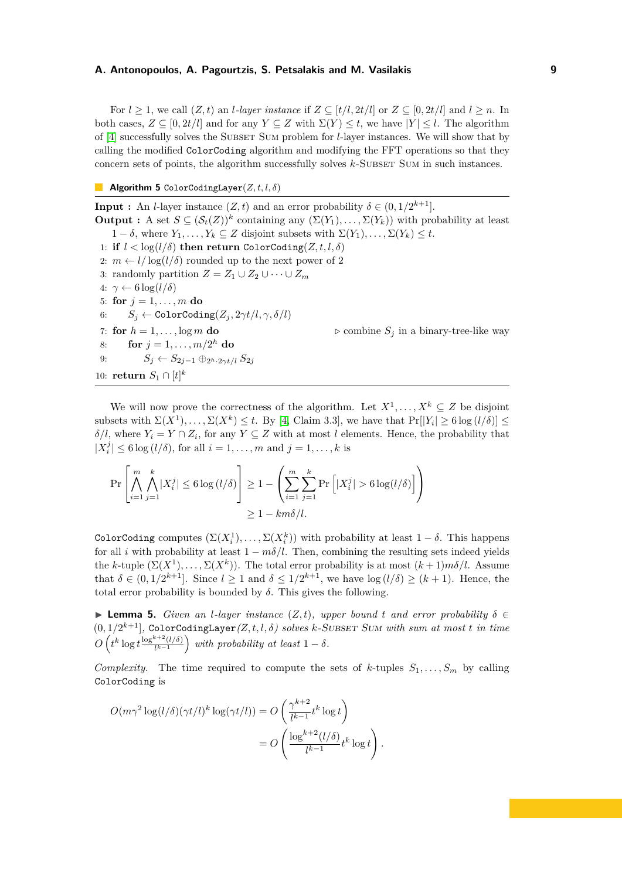For  $l \geq 1$ , we call  $(Z, t)$  an *l*-layer instance if  $Z \subseteq [t/l, 2t/l]$  or  $Z \subseteq [0, 2t/l]$  and  $l \geq n$ . In both cases,  $Z \subseteq [0, 2t/l]$  and for any  $Y \subseteq Z$  with  $\Sigma(Y) \leq t$ , we have  $|Y| \leq l$ . The algorithm of [\[4\]](#page-16-1) successfully solves the Subset Sum problem for *l*-layer instances. We will show that by calling the modified ColorCoding algorithm and modifying the FFT operations so that they concern sets of points, the algorithm successfully solves *k*-SUBSET SUM in such instances.

<span id="page-8-0"></span>**Algorithm 5** ColorCodingLayer(*Z, t, l, δ*)

**Input :** An *l*-layer instance  $(Z, t)$  and an error probability  $\delta \in (0, 1/2^{k+1}]$ . **Output :** A set  $S \subseteq (\mathcal{S}_t(Z))^k$  containing any  $(\Sigma(Y_1), \ldots, \Sigma(Y_k))$  with probability at least 1 − *δ*, where  $Y_1, \ldots, Y_k$  ⊆ *Z* disjoint subsets with  $\Sigma(Y_1), \ldots, \Sigma(Y_k) \leq t$ . 1: **if**  $l < \log(l/\delta)$  **then return** ColorCoding(*Z, t, l, δ*) 2:  $m \leftarrow l / \log(l/\delta)$  rounded up to the next power of 2 3: randomly partition  $Z = Z_1 \cup Z_2 \cup \cdots \cup Z_m$ 4: *γ* ← 6 log(*l/δ*) 5: **for**  $j = 1, ..., m$  **do** 6:  $S_i \leftarrow \text{ColorCoding}(Z_i, 2\gamma t/l, \gamma, \delta/l)$ 7: **for**  $h = 1, \ldots, \log m$  **do**  $\triangleright$  combine  $S_j$  in a binary-tree-like way 8: **for**  $j = 1, ..., m/2^h$  **do** 9:  $S_j \leftarrow S_{2j-1} \oplus_{2^h \cdot 2\gamma t/l} S_{2j}$ 10: **return**  $S_1 \cap [t]^k$ 

We will now prove the correctness of the algorithm. Let  $X^1, \ldots, X^k \subseteq Z$  be disjoint subsets with  $\Sigma(X^1), \ldots, \Sigma(X^k) \leq t$ . By [\[4,](#page-16-1) Claim 3.3], we have that  $\Pr[|Y_i| \geq 6 \log (l/\delta)] \leq$  $\delta/l$ , where  $Y_i = Y \cap Z_i$ , for any  $Y \subseteq Z$  with at most *l* elements. Hence, the probability that  $|X_i^j| \le 6 \log (l/\delta)$ , for all  $i = 1, ..., m$  and  $j = 1, ..., k$  is

$$
\Pr\left[\bigwedge_{i=1}^{m} \bigwedge_{j=1}^{k} |X_i^j| \le 6 \log (l/\delta) \right] \ge 1 - \left(\sum_{i=1}^{m} \sum_{j=1}^{k} \Pr\left[ |X_i^j| > 6 \log (l/\delta) \right] \right)
$$
  

$$
\ge 1 - km\delta/l.
$$

ColorCoding computes  $(\Sigma(X_i^1), \ldots, \Sigma(X_i^k))$  with probability at least  $1 - \delta$ . This happens for all *i* with probability at least  $1 - m\delta/l$ . Then, combining the resulting sets indeed yields the *k*-tuple  $(\Sigma(X^1), \ldots, \Sigma(X^k))$ . The total error probability is at most  $(k+1)m\delta/l$ . Assume that  $\delta \in (0, 1/2^{k+1}]$ . Since  $l \geq 1$  and  $\delta \leq 1/2^{k+1}$ , we have  $\log(l/\delta) \geq (k+1)$ . Hence, the total error probability is bounded by  $\delta$ . This gives the following.

 $\triangleright$  **Lemma 5.** *Given an l-layer instance* (*Z,t), upper bound t and error probability δ* ∈  $(0,1/2^{k+1}]$ , ColorCodingLayer $(Z, t, l, \delta)$  solves *k*-SUBSET SUM with sum at most *t* in time  $O\left(t^k\log t\frac{\log^{k+2}(l/\delta)}{l^k-1}\right)$  $\frac{1}{k^{k-1}}\binom{k+2}{k}$  with probability at least  $1-\delta$ .

*Complexity.* The time required to compute the sets of *k*-tuples  $S_1, \ldots, S_m$  by calling ColorCoding is

*.*

$$
O(m\gamma^2 \log(l/\delta)(\gamma t/l)^k \log(\gamma t/l)) = O\left(\frac{\gamma^{k+2}}{l^{k-1}} t^k \log t\right)
$$

$$
= O\left(\frac{\log^{k+2}(l/\delta)}{l^{k-1}} t^k \log t\right)
$$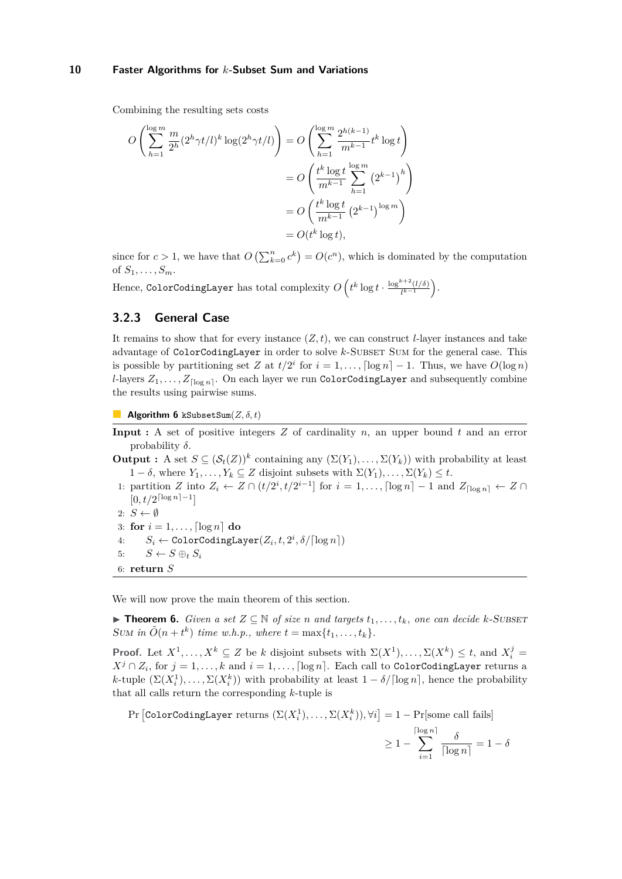Combining the resulting sets costs

$$
O\left(\sum_{h=1}^{\log m} \frac{m}{2^h} (2^h \gamma t/l)^k \log(2^h \gamma t/l)\right) = O\left(\sum_{h=1}^{\log m} \frac{2^{h(k-1)}}{m^{k-1}} t^k \log t\right)
$$
  
= 
$$
O\left(\frac{t^k \log t}{m^{k-1}} \sum_{h=1}^{\log m} (2^{k-1})^h\right)
$$
  
= 
$$
O\left(\frac{t^k \log t}{m^{k-1}} (2^{k-1})^{\log m}\right)
$$
  
= 
$$
O(t^k \log t),
$$

since for  $c > 1$ , we have that  $O\left(\sum_{k=0}^n c^k\right) = O(c^n)$ , which is dominated by the computation of  $S_1, \ldots, S_m$ .

 $\text{Hence, ColorCodingLayer} \text{ has total complexity } O\left(t^k \log t \cdot \frac{\log^{k+2}(l/\delta)}{l^{k-1}}\right)$  $\frac{k+2(l/\delta)}{l^{k-1}}$ .

## **3.2.3 General Case**

It remains to show that for every instance  $(Z, t)$ , we can construct *l*-layer instances and take advantage of ColorCodingLayer in order to solve *k*-SUBSET SUM for the general case. This is possible by partitioning set *Z* at  $t/2^i$  for  $i = 1, ..., \lfloor \log n \rfloor - 1$ . Thus, we have  $O(\log n)$ *l*-layers  $Z_1, \ldots, Z_{\lceil \log n \rceil}$ . On each layer we run ColorCodingLayer and subsequently combine the results using pairwise sums.

**Algorithm 6** kSubsetSum(*Z, δ, t*)

- **Input :** A set of positive integers *Z* of cardinality *n*, an upper bound *t* and an error probability *δ*.
- **Output :** A set  $S \subseteq (\mathcal{S}_t(Z))^k$  containing any  $(\Sigma(Y_1), \ldots, \Sigma(Y_k))$  with probability at least 1 − *δ*, where  $Y_1, \ldots, Y_k$  ⊆ *Z* disjoint subsets with  $\Sigma(Y_1), \ldots, \Sigma(Y_k) \leq t$ .
- 1: partition *Z* into  $Z_i$  ←  $Z \cap (t/2^i, t/2^{i-1}]$  for  $i = 1, \ldots, \lceil \log n \rceil 1$  and  $Z_{\lceil \log n \rceil}$  ←  $Z \cap$  $[0, t/2^{\lceil \log n \rceil - 1}]$
- 2:  $S \leftarrow \emptyset$
- 3: **for**  $i = 1, \ldots, \lceil \log n \rceil$  **do**
- $S_i \leftarrow \texttt{ColorCodingLayer}(Z_i, t, 2^i, \delta/ \lceil \log n \rceil)$
- 5:  $S \leftarrow S \oplus_t S_i$
- 6: **return** *S*

We will now prove the main theorem of this section.

▶ **Theorem 6.** *Given a set*  $Z \subseteq \mathbb{N}$  *of size n and targets*  $t_1, \ldots, t_k$ *, one can decide k*-SUBSET SUM in  $\tilde{O}(n + t^k)$  *time w.h.p., where*  $t = \max\{t_1, \ldots, t_k\}$ *.* 

**Proof.** Let  $X^1, \ldots, X^k \subseteq Z$  be *k* disjoint subsets with  $\Sigma(X^1), \ldots, \Sigma(X^k) \le t$ , and  $X_i^j =$ *X*<sup>*j*</sup> ∩ *Z*<sub>*i*</sub>, for *j* = 1, ..., *k* and *i* = 1, ..., [log *n*]. Each call to ColorCodingLayer returns a *k*-tuple  $(\Sigma(X_i^1), \ldots, \Sigma(X_i^k))$  with probability at least  $1 - \delta / \lceil \log n \rceil$ , hence the probability that all calls return the corresponding *k*-tuple is

 $\Pr\left[\text{ColorCodingLayer returns } (\Sigma(X_i^1), \ldots, \Sigma(X_i^k)), \forall i\right] = 1 - \Pr[\text{some call fails}]$ 

$$
\geq 1 - \sum_{i=1}^{\lceil \log n \rceil} \frac{\delta}{\lceil \log n \rceil} = 1 - \delta
$$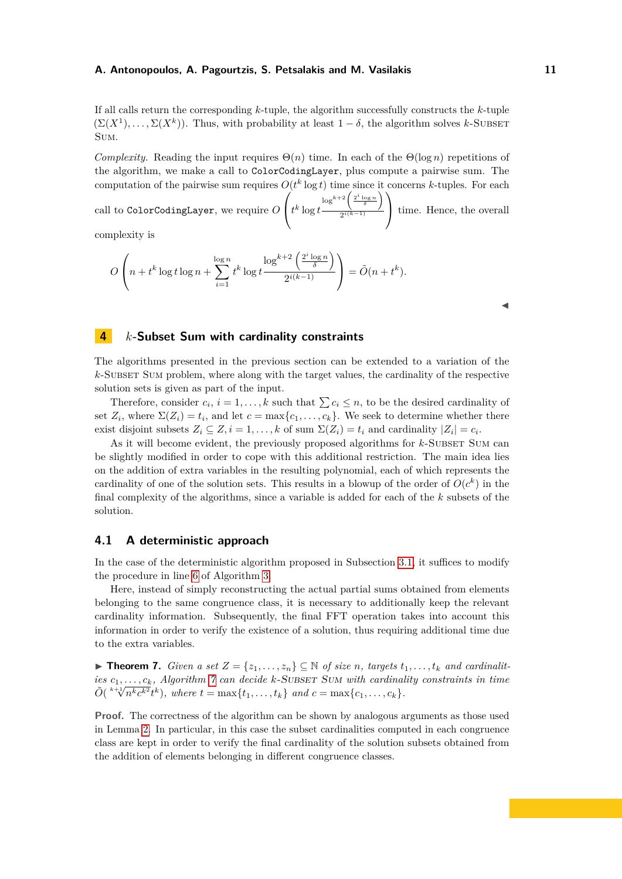If all calls return the corresponding *k*-tuple, the algorithm successfully constructs the *k*-tuple  $(\Sigma(X^1), \ldots, \Sigma(X^k))$ . Thus, with probability at least  $1 - \delta$ , the algorithm solves *k*-SUBSET Sum.

*Complexity.* Reading the input requires  $\Theta(n)$  time. In each of the  $\Theta(\log n)$  repetitions of the algorithm, we make a call to ColorCodingLayer, plus compute a pairwise sum. The computation of the pairwise sum requires  $O(t^k \log t)$  time since it concerns *k*-tuples. For each

call to ColorCodingLayer, we require *O*  $\sqrt{ }$  $\int t^k \log t$  $\log^{k+2} \left( \frac{2^i \log n}{\delta} \right)$ 2 *i*(*k*−1)  $\setminus$ time. Hence, the overall

complexity is

$$
O\left(n+t^k\log t\log n+\sum_{i=1}^{\log n}t^k\log t\frac{\log^{k+2}\left(\frac{2^i\log n}{\delta}\right)}{2^{i(k-1)}}\right)=\tilde{O}(n+t^k).
$$

 $\blacktriangleleft$ 

## <span id="page-10-0"></span>**4** *k***-Subset Sum with cardinality constraints**

The algorithms presented in the previous section can be extended to a variation of the  $k$ -Subset Sum problem, where along with the target values, the cardinality of the respective solution sets is given as part of the input.

Therefore, consider  $c_i$ ,  $i = 1, ..., k$  such that  $\sum c_i \leq n$ , to be the desired cardinality of set  $Z_i$ , where  $\Sigma(Z_i) = t_i$ , and let  $c = \max\{c_1, \ldots, c_k\}$ . We seek to determine whether there exist disjoint subsets  $Z_i \subseteq Z, i = 1, \ldots, k$  of sum  $\Sigma(Z_i) = t_i$  and cardinality  $|Z_i| = c_i$ .

As it will become evident, the previously proposed algorithms for *k*-SUBSET SUM can be slightly modified in order to cope with this additional restriction. The main idea lies on the addition of extra variables in the resulting polynomial, each of which represents the cardinality of one of the solution sets. This results in a blowup of the order of  $O(c^k)$  in the final complexity of the algorithms, since a variable is added for each of the *k* subsets of the solution.

## <span id="page-10-1"></span>**4.1 A deterministic approach**

In the case of the deterministic algorithm proposed in Subsection [3.1,](#page-3-1) it suffices to modify the procedure in line [6](#page-5-1) of Algorithm [3.](#page-5-1)

Here, instead of simply reconstructing the actual partial sums obtained from elements belonging to the same congruence class, it is necessary to additionally keep the relevant cardinality information. Subsequently, the final FFT operation takes into account this information in order to verify the existence of a solution, thus requiring additional time due to the extra variables.

▶ **Theorem 7.** *Given a set*  $Z = \{z_1, \ldots, z_n\}$  ⊆ *N of size n, targets*  $t_1, \ldots, t_k$  *and cardinalities*  $c_1, \ldots, c_k$ *, Algorithm 7* can decide k-Subset Sum with cardinality constraints in time  $\tilde{O}(\sqrt[k+1]{n^k c^{k^2}} t^k)$ , where  $t = \max\{t_1, \ldots, t_k\}$  and  $c = \max\{c_1, \ldots, c_k\}$ .

**Proof.** The correctness of the algorithm can be shown by analogous arguments as those used in Lemma [2.](#page-4-1) In particular, in this case the subset cardinalities computed in each congruence class are kept in order to verify the final cardinality of the solution subsets obtained from the addition of elements belonging in different congruence classes.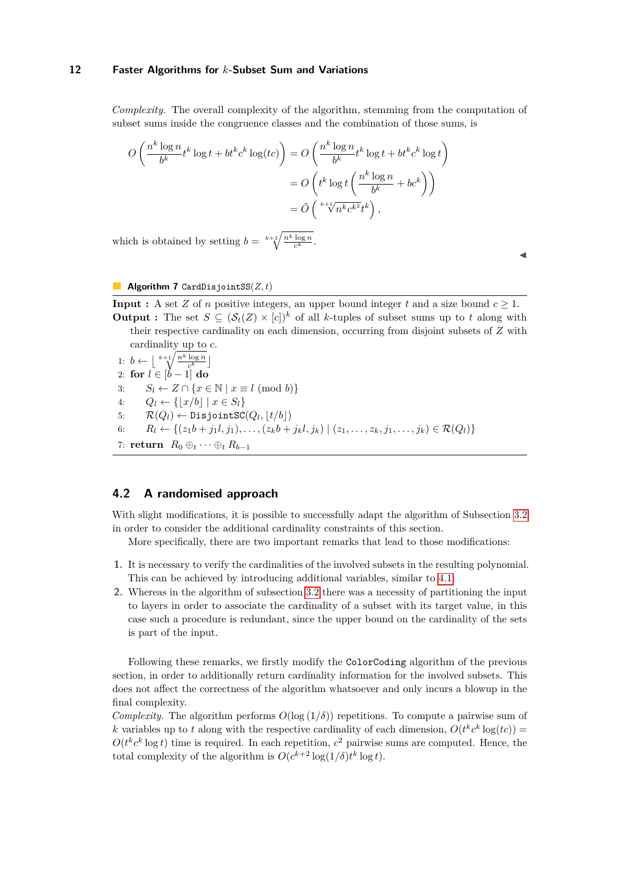*Complexity.* The overall complexity of the algorithm, stemming from the computation of subset sums inside the congruence classes and the combination of those sums, is

$$
O\left(\frac{n^k \log n}{b^k} t^k \log t + bt^k c^k \log(tc)\right) = O\left(\frac{n^k \log n}{b^k} t^k \log t + bt^k c^k \log t\right)
$$

$$
= O\left(t^k \log t \left(\frac{n^k \log n}{b^k} + bc^k\right)\right)
$$

$$
= \tilde{O}\left(\frac{k^k \log t}{b^k} t^k\right),
$$

which is obtained by setting  $b = k + 1 \frac{nk \log n}{c^k}$ .

 $\blacktriangleleft$ 

#### <span id="page-11-0"></span>**Algorithm 7** CardDisjointSS(*Z, t*)

**Input :** A set *Z* of *n* positive integers, an upper bound integer *t* and a size bound  $c \geq 1$ . **Output :** The set  $S \subseteq (\mathcal{S}_t(Z) \times [c])^k$  of all *k*-tuples of subset sums up to *t* along with their respective cardinality on each dimension, occurring from disjoint subsets of *Z* with cardinality up to *c*.

1:  $b \leftarrow \lfloor \sqrt[k+1]{\frac{n^k \log n}{c^k}} \rfloor$ 2: **for** *l* ∈ [*b* − 1] **do** 3:  $S_l \leftarrow Z \cap \{x \in \mathbb{N} \mid x \equiv l \pmod{b}\}\$ 4:  $Q_l \leftarrow \{ |x/b| \mid x \in S_l \}$  $5: \qquad \mathcal{R}(Q_l) \leftarrow \texttt{DisjointSC}(Q_l, \lfloor t/b \rfloor)$ 6:  $R_l \leftarrow \{(z_1b + j_1l, j_1), \ldots, (z_kb + j_kl, j_k) \mid (z_1, \ldots, z_k, j_1, \ldots, j_k) \in \mathcal{R}(Q_l)\}\$ 7: **return**  $R_0 \oplus_t \cdots \oplus_t R_{b-1}$ 

## **4.2 A randomised approach**

With slight modifications, it is possible to successfully adapt the algorithm of Subsection [3.2](#page-5-2) in order to consider the additional cardinality constraints of this section.

More specifically, there are two important remarks that lead to those modifications:

- **1.** It is necessary to verify the cardinalities of the involved subsets in the resulting polynomial. This can be achieved by introducing additional variables, similar to [4.1.](#page-10-1)
- **2.** Whereas in the algorithm of subsection [3.2](#page-5-2) there was a necessity of partitioning the input to layers in order to associate the cardinality of a subset with its target value, in this case such a procedure is redundant, since the upper bound on the cardinality of the sets is part of the input.

Following these remarks, we firstly modify the ColorCoding algorithm of the previous section, in order to additionally return cardinality information for the involved subsets. This does not affect the correctness of the algorithm whatsoever and only incurs a blowup in the final complexity.

*Complexity.* The algorithm performs  $O(\log(1/\delta))$  repetitions. To compute a pairwise sum of *k* variables up to *t* along with the respective cardinality of each dimension,  $O(t^k c^k \log(tc))$  $O(t^k c^k \log t)$  time is required. In each repetition,  $c^2$  pairwise sums are computed. Hence, the total complexity of the algorithm is  $O(c^{k+2} \log(1/\delta)t^k \log t)$ .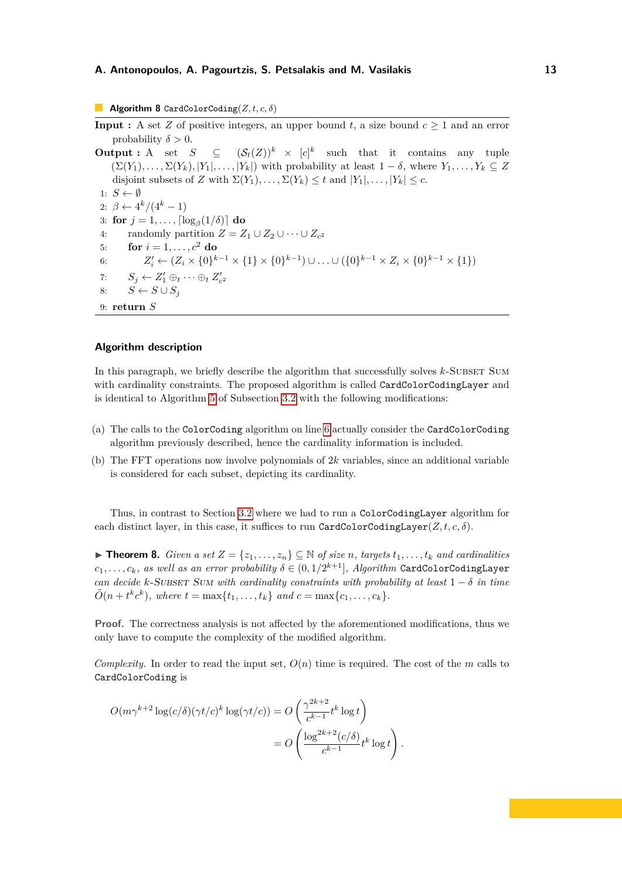**Algorithm 8** CardColorCoding(*Z, t, c, δ*)

**Input :** A set *Z* of positive integers, an upper bound  $t$ , a size bound  $c \geq 1$  and an error probability  $\delta > 0$ .

**Output :** A set  $S \subseteq (\mathcal{S}_t(Z))^k \times [c]^k$  such that it contains any tuple  $(\Sigma(Y_1), \ldots, \Sigma(Y_k), |Y_1|, \ldots, |Y_k|)$  with probability at least  $1 - \delta$ , where  $Y_1, \ldots, Y_k \subseteq Z$ disjoint subsets of *Z* with  $\Sigma(Y_1), \ldots, \Sigma(Y_k) \leq t$  and  $|Y_1|, \ldots, |Y_k| \leq c$ . 1:  $S \leftarrow \emptyset$ 2:  $\beta \leftarrow 4^k/(4^k-1)$  $3:$  for  $j = 1, \ldots, \lceil \log_{\beta}(1/\delta) \rceil$  do 4: randomly partition  $Z = Z_1 \cup Z_2 \cup \cdots \cup Z_{c^2}$ 5: **for**  $i = 1, ..., c^2$  **do** 6:  $Z'_{i} \leftarrow (Z_{i} \times \{0\}^{k-1} \times \{1\} \times \{0\}^{k-1}) \cup ... \cup (\{0\}^{k-1} \times Z_{i} \times \{0\}^{k-1} \times \{1\})$ 7:  $S_j \leftarrow Z'_1 \oplus_t \cdots \oplus_t Z'_{c^2}$ 8:  $S \leftarrow S \cup S_j$ 9: **return** *S*

## **Algorithm description**

In this paragraph, we briefly describe the algorithm that successfully solves  $k$ -SUBSET SUM with cardinality constraints. The proposed algorithm is called CardColorCodingLayer and is identical to Algorithm [5](#page-8-0) of Subsection [3.2](#page-5-2) with the following modifications:

- (a) The calls to the ColorCoding algorithm on line [6](#page-8-0) actually consider the CardColorCoding algorithm previously described, hence the cardinality information is included.
- (b) The FFT operations now involve polynomials of 2*k* variables, since an additional variable is considered for each subset, depicting its cardinality.

Thus, in contrast to Section [3.2](#page-5-2) where we had to run a ColorCodingLayer algorithm for each distinct layer, in this case, it suffices to run CardColorCodingLayer $(Z, t, c, \delta)$ .

▶ **Theorem 8.** *Given a set*  $Z = \{z_1, \ldots, z_n\}$  ⊆ *N of size n, targets*  $t_1, \ldots, t_k$  *and cardinalities*  $c_1, \ldots, c_k$ *, as well as an error probability*  $\delta \in (0, 1/2^{k+1}]$ *, Algorithm* CardColorCodingLayer *can decide k*-SUBSET SUM with cardinality constraints with probability at least  $1 - \delta$  *in time*  $\tilde{O}(n + t^k c^k)$ , where  $t = \max\{t_1, \ldots, t_k\}$  and  $c = \max\{c_1, \ldots, c_k\}$ .

**Proof.** The correctness analysis is not affected by the aforementioned modifications, thus we only have to compute the complexity of the modified algorithm.

*Complexity.* In order to read the input set,  $O(n)$  time is required. The cost of the *m* calls to CardColorCoding is

*.*

$$
O(m\gamma^{k+2}\log(c/\delta)(\gamma t/c)^k \log(\gamma t/c)) = O\left(\frac{\gamma^{2k+2}}{c^{k-1}}t^k \log t\right)
$$

$$
= O\left(\frac{\log^{2k+2}(c/\delta)}{c^{k-1}}t^k \log t\right)
$$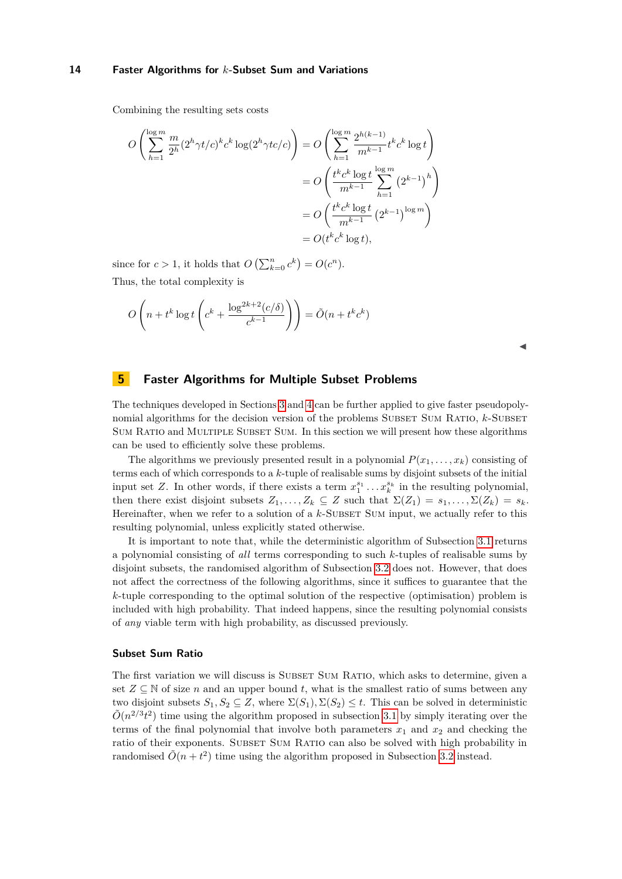Combining the resulting sets costs

$$
O\left(\sum_{h=1}^{\log m} \frac{m}{2^h} (2^h \gamma t/c)^k c^k \log(2^h \gamma tc/c)\right) = O\left(\sum_{h=1}^{\log m} \frac{2^{h(k-1)}}{m^{k-1}} t^k c^k \log t\right)
$$
  
= 
$$
O\left(\frac{t^k c^k \log t}{m^{k-1}} \sum_{h=1}^{\log m} (2^{k-1})^h\right)
$$
  
= 
$$
O\left(\frac{t^k c^k \log t}{m^{k-1}} (2^{k-1})^{\log m}\right)
$$
  
= 
$$
O(t^k c^k \log t),
$$

since for  $c > 1$ , it holds that  $O\left(\sum_{k=0}^{n} c^k\right) = O(c^n)$ . Thus, the total complexity is

$$
O\left(n + t^k \log t \left( c^k + \frac{\log^{2k+2}(c/\delta)}{c^{k-1}} \right) \right) = \tilde{O}(n + t^k c^k)
$$

| × |   |
|---|---|
|   |   |
|   | M |

## <span id="page-13-0"></span>**5 Faster Algorithms for Multiple Subset Problems**

The techniques developed in Sections [3](#page-3-0) and [4](#page-10-0) can be further applied to give faster pseudopolynomial algorithms for the decision version of the problems SUBSET SUM RATIO, *k*-SUBSET Sum Ratio and Multiple Subset Sum. In this section we will present how these algorithms can be used to efficiently solve these problems.

The algorithms we previously presented result in a polynomial  $P(x_1, \ldots, x_k)$  consisting of terms each of which corresponds to a *k*-tuple of realisable sums by disjoint subsets of the initial input set *Z*. In other words, if there exists a term  $x_1^{s_1} \dots x_k^{s_k}$  in the resulting polynomial, then there exist disjoint subsets  $Z_1, \ldots, Z_k \subseteq Z$  such that  $\Sigma(Z_1) = s_1, \ldots, \Sigma(Z_k) = s_k$ . Hereinafter, when we refer to a solution of a *k*-SUBSET SUM input, we actually refer to this resulting polynomial, unless explicitly stated otherwise.

It is important to note that, while the deterministic algorithm of Subsection [3.1](#page-3-1) returns a polynomial consisting of *all* terms corresponding to such *k*-tuples of realisable sums by disjoint subsets, the randomised algorithm of Subsection [3.2](#page-5-2) does not. However, that does not affect the correctness of the following algorithms, since it suffices to guarantee that the *k*-tuple corresponding to the optimal solution of the respective (optimisation) problem is included with high probability. That indeed happens, since the resulting polynomial consists of *any* viable term with high probability, as discussed previously.

#### **Subset Sum Ratio**

The first variation we will discuss is SUBSET SUM RATIO, which asks to determine, given a set  $Z \subseteq \mathbb{N}$  of size *n* and an upper bound *t*, what is the smallest ratio of sums between any two disjoint subsets  $S_1, S_2 \subseteq Z$ , where  $\Sigma(S_1), \Sigma(S_2) \leq t$ . This can be solved in deterministic  $\tilde{O}(n^{2/3}t^2)$  time using the algorithm proposed in subsection [3.1](#page-3-1) by simply iterating over the terms of the final polynomial that involve both parameters  $x_1$  and  $x_2$  and checking the ratio of their exponents. SUBSET SUM RATIO can also be solved with high probability in randomised  $\tilde{O}(n + t^2)$  time using the algorithm proposed in Subsection [3.2](#page-5-2) instead.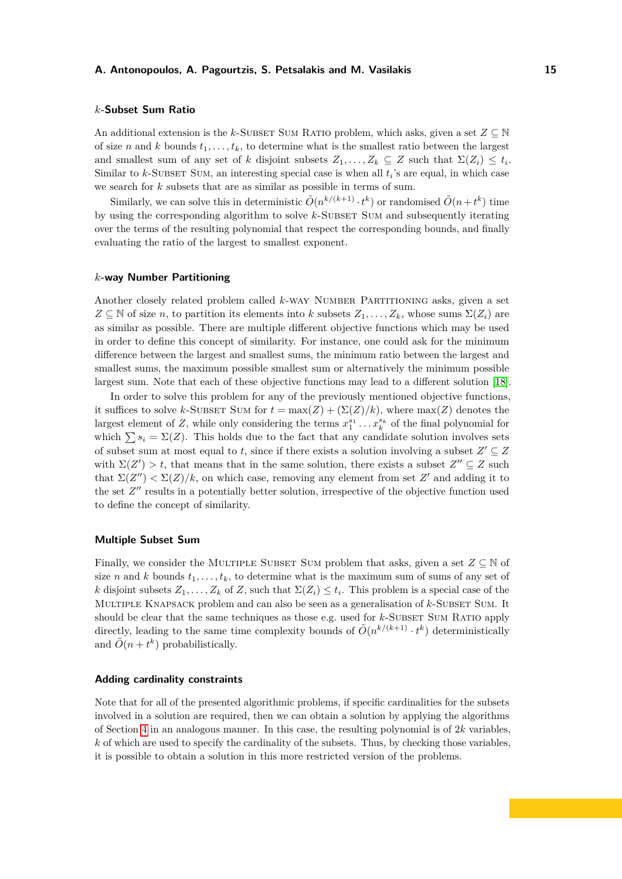#### *k***-Subset Sum Ratio**

An additional extension is the *k*-SUBSET SUM RATIO problem, which asks, given a set  $Z \subseteq \mathbb{N}$ of size *n* and *k* bounds  $t_1, \ldots, t_k$ , to determine what is the smallest ratio between the largest and smallest sum of any set of *k* disjoint subsets  $Z_1, \ldots, Z_k \subseteq Z$  such that  $\Sigma(Z_i) \leq t_i$ . Similar to  $k$ -SUBSET SUM, an interesting special case is when all  $t_i$ 's are equal, in which case we search for *k* subsets that are as similar as possible in terms of sum.

Similarly, we can solve this in deterministic  $\tilde{O}(n^{k/(k+1)} \cdot t^k)$  or randomised  $\tilde{O}(n + t^k)$  time by using the corresponding algorithm to solve *k*-SUBSET SUM and subsequently iterating over the terms of the resulting polynomial that respect the corresponding bounds, and finally evaluating the ratio of the largest to smallest exponent.

#### *k***-way Number Partitioning**

Another closely related problem called *k*-way Number Partitioning asks, given a set  $Z \subseteq \mathbb{N}$  of size *n*, to partition its elements into *k* subsets  $Z_1, \ldots, Z_k$ , whose sums  $\Sigma(Z_i)$  are as similar as possible. There are multiple different objective functions which may be used in order to define this concept of similarity. For instance, one could ask for the minimum difference between the largest and smallest sums, the minimum ratio between the largest and smallest sums, the maximum possible smallest sum or alternatively the minimum possible largest sum. Note that each of these objective functions may lead to a different solution [\[18\]](#page-17-10).

In order to solve this problem for any of the previously mentioned objective functions, it suffices to solve *k*-SUBSET SUM for  $t = \max(Z) + (\Sigma(Z)/k)$ , where  $\max(Z)$  denotes the largest element of *Z*, while only considering the terms  $x_1^{s_1} \ldots x_k^{s_k}$  of the final polynomial for which  $\sum s_i = \Sigma(Z)$ . This holds due to the fact that any candidate solution involves sets of subset sum at most equal to *t*, since if there exists a solution involving a subset  $Z' \subseteq Z$ with  $\Sigma(Z') > t$ , that means that in the same solution, there exists a subset  $Z'' \subseteq Z$  such that  $\Sigma(Z'') < \Sigma(Z)/k$ , on which case, removing any element from set Z' and adding it to the set  $Z''$  results in a potentially better solution, irrespective of the objective function used to define the concept of similarity.

#### **Multiple Subset Sum**

Finally, we consider the MULTIPLE SUBSET SUM problem that asks, given a set  $Z \subseteq \mathbb{N}$  of size *n* and *k* bounds  $t_1, \ldots, t_k$ , to determine what is the maximum sum of sums of any set of *k* disjoint subsets  $Z_1, \ldots, Z_k$  of *Z*, such that  $\Sigma(Z_i) \leq t_i$ . This problem is a special case of the MULTIPLE KNAPSACK problem and can also be seen as a generalisation of  $k$ -SUBSET SUM. It should be clear that the same techniques as those e.g. used for *k*-SUBSET SUM RATIO apply directly, leading to the same time complexity bounds of  $\tilde{O}(n^{k/(k+1)} \cdot t^k)$  deterministically and  $\tilde{O}(n + t^k)$  probabilistically.

## **Adding cardinality constraints**

Note that for all of the presented algorithmic problems, if specific cardinalities for the subsets involved in a solution are required, then we can obtain a solution by applying the algorithms of Section [4](#page-10-0) in an analogous manner. In this case, the resulting polynomial is of 2*k* variables, *k* of which are used to specify the cardinality of the subsets. Thus, by checking those variables, it is possible to obtain a solution in this more restricted version of the problems.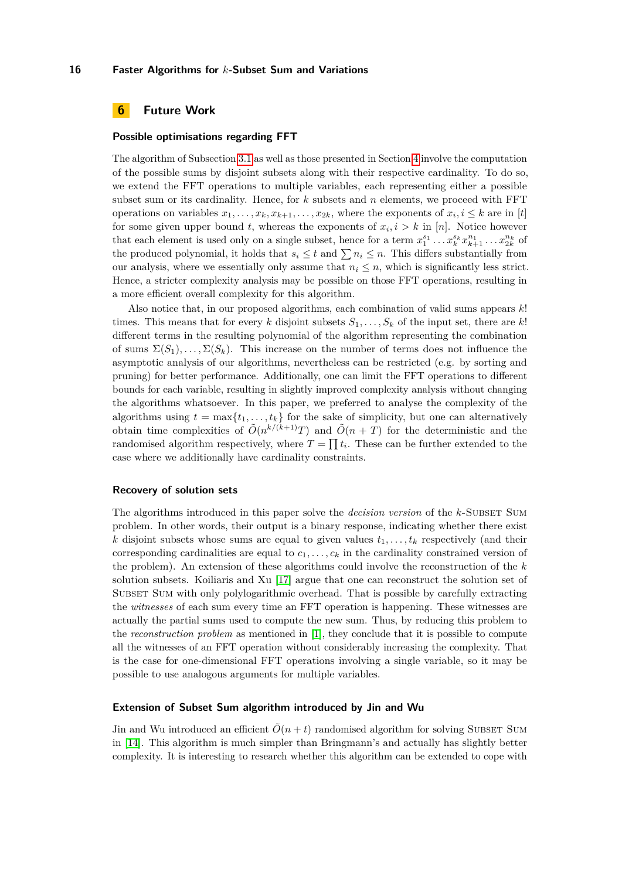## **6 Future Work**

#### **Possible optimisations regarding FFT**

The algorithm of Subsection [3.1](#page-3-1) as well as those presented in Section [4](#page-10-0) involve the computation of the possible sums by disjoint subsets along with their respective cardinality. To do so, we extend the FFT operations to multiple variables, each representing either a possible subset sum or its cardinality. Hence, for *k* subsets and *n* elements, we proceed with FFT operations on variables  $x_1, \ldots, x_k, x_{k+1}, \ldots, x_{2k}$ , where the exponents of  $x_i, i \leq k$  are in [*t*] for some given upper bound *t*, whereas the exponents of  $x_i, i > k$  in [*n*]. Notice however that each element is used only on a single subset, hence for a term  $x_1^{s_1} \dots x_k^{s_k} x_{k+1}^{n_1} \dots x_{2k}^{n_k}$  of the produced polynomial, it holds that  $s_i \leq t$  and  $\sum n_i \leq n$ . This differs substantially from our analysis, where we essentially only assume that  $n_i \leq n$ , which is significantly less strict. Hence, a stricter complexity analysis may be possible on those FFT operations, resulting in a more efficient overall complexity for this algorithm.

Also notice that, in our proposed algorithms, each combination of valid sums appears *k*! times. This means that for every *k* disjoint subsets  $S_1, \ldots, S_k$  of the input set, there are *k*! different terms in the resulting polynomial of the algorithm representing the combination of sums  $\Sigma(S_1), \ldots, \Sigma(S_k)$ . This increase on the number of terms does not influence the asymptotic analysis of our algorithms, nevertheless can be restricted (e.g. by sorting and pruning) for better performance. Additionally, one can limit the FFT operations to different bounds for each variable, resulting in slightly improved complexity analysis without changing the algorithms whatsoever. In this paper, we preferred to analyse the complexity of the algorithms using  $t = \max\{t_1, \ldots, t_k\}$  for the sake of simplicity, but one can alternatively obtain time complexities of  $\tilde{O}(n^{k/(k+1)}T)$  and  $\tilde{O}(n+T)$  for the deterministic and the randomised algorithm respectively, where  $T = \prod t_i$ . These can be further extended to the case where we additionally have cardinality constraints.

#### **Recovery of solution sets**

The algorithms introduced in this paper solve the *decision version* of the *k*-SUBSET SUM problem. In other words, their output is a binary response, indicating whether there exist *k* disjoint subsets whose sums are equal to given values  $t_1, \ldots, t_k$  respectively (and their corresponding cardinalities are equal to  $c_1, \ldots, c_k$  in the cardinality constrained version of the problem). An extension of these algorithms could involve the reconstruction of the *k* solution subsets. Koiliaris and Xu [\[17\]](#page-17-0) argue that one can reconstruct the solution set of SUBSET SUM with only polylogarithmic overhead. That is possible by carefully extracting the *witnesses* of each sum every time an FFT operation is happening. These witnesses are actually the partial sums used to compute the new sum. Thus, by reducing this problem to the *reconstruction problem* as mentioned in [\[1\]](#page-16-15), they conclude that it is possible to compute all the witnesses of an FFT operation without considerably increasing the complexity. That is the case for one-dimensional FFT operations involving a single variable, so it may be possible to use analogous arguments for multiple variables.

#### **Extension of Subset Sum algorithm introduced by Jin and Wu**

Jin and Wu introduced an efficient  $\tilde{O}(n + t)$  randomised algorithm for solving SUBSET SUM in [\[14\]](#page-16-9). This algorithm is much simpler than Bringmann's and actually has slightly better complexity. It is interesting to research whether this algorithm can be extended to cope with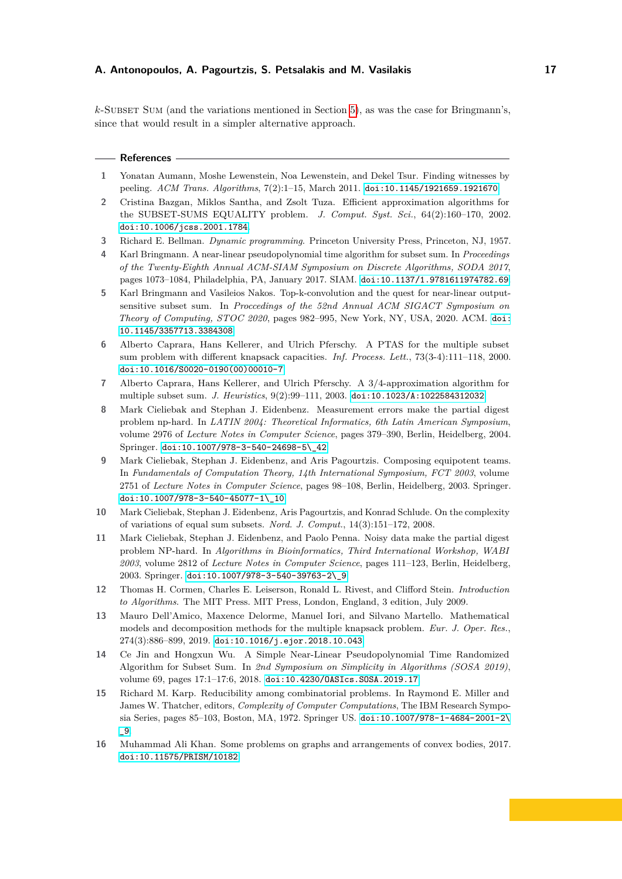*k*-Subset Sum (and the variations mentioned in Section [5\)](#page-13-0), as was the case for Bringmann's, since that would result in a simpler alternative approach.

|  |  | <b>References</b> |  |
|--|--|-------------------|--|
|--|--|-------------------|--|

- <span id="page-16-15"></span>**1** Yonatan Aumann, Moshe Lewenstein, Noa Lewenstein, and Dekel Tsur. Finding witnesses by peeling. *ACM Trans. Algorithms*, 7(2):1–15, March 2011. [doi:10.1145/1921659.1921670](https://doi.org/10.1145/1921659.1921670).
- <span id="page-16-5"></span>**2** Cristina Bazgan, Miklos Santha, and Zsolt Tuza. Efficient approximation algorithms for the SUBSET-SUMS EQUALITY problem. *J. Comput. Syst. Sci.*, 64(2):160–170, 2002. [doi:10.1006/jcss.2001.1784](https://doi.org/10.1006/jcss.2001.1784).
- <span id="page-16-0"></span>**3** Richard E. Bellman. *Dynamic programming*. Princeton University Press, Princeton, NJ, 1957.
- <span id="page-16-1"></span>**4** Karl Bringmann. A near-linear pseudopolynomial time algorithm for subset sum. In *Proceedings of the Twenty-Eighth Annual ACM-SIAM Symposium on Discrete Algorithms, SODA 2017*, pages 1073–1084, Philadelphia, PA, January 2017. SIAM. [doi:10.1137/1.9781611974782.69](https://doi.org/10.1137/1.9781611974782.69).
- <span id="page-16-10"></span>**5** Karl Bringmann and Vasileios Nakos. Top-k-convolution and the quest for near-linear outputsensitive subset sum. In *Proccedings of the 52nd Annual ACM SIGACT Symposium on Theory of Computing, STOC 2020*, pages 982–995, New York, NY, USA, 2020. ACM. [doi:](https://doi.org/10.1145/3357713.3384308) [10.1145/3357713.3384308](https://doi.org/10.1145/3357713.3384308).
- <span id="page-16-11"></span>**6** Alberto Caprara, Hans Kellerer, and Ulrich Pferschy. A PTAS for the multiple subset sum problem with different knapsack capacities. *Inf. Process. Lett.*, 73(3-4):111–118, 2000. [doi:10.1016/S0020-0190\(00\)00010-7](https://doi.org/10.1016/S0020-0190(00)00010-7).
- <span id="page-16-12"></span>**7** Alberto Caprara, Hans Kellerer, and Ulrich Pferschy. A 3/4-approximation algorithm for multiple subset sum. *J. Heuristics*, 9(2):99–111, 2003. [doi:10.1023/A:1022584312032](https://doi.org/10.1023/A:1022584312032).
- <span id="page-16-4"></span>**8** Mark Cieliebak and Stephan J. Eidenbenz. Measurement errors make the partial digest problem np-hard. In *LATIN 2004: Theoretical Informatics, 6th Latin American Symposium*, volume 2976 of *Lecture Notes in Computer Science*, pages 379–390, Berlin, Heidelberg, 2004. Springer. [doi:10.1007/978-3-540-24698-5\\\_42](https://doi.org/10.1007/978-3-540-24698-5_42).
- <span id="page-16-7"></span>**9** Mark Cieliebak, Stephan J. Eidenbenz, and Aris Pagourtzis. Composing equipotent teams. In *Fundamentals of Computation Theory, 14th International Symposium, FCT 2003*, volume 2751 of *Lecture Notes in Computer Science*, pages 98–108, Berlin, Heidelberg, 2003. Springer. [doi:10.1007/978-3-540-45077-1\\\_10](https://doi.org/10.1007/978-3-540-45077-1_10).
- <span id="page-16-8"></span>**10** Mark Cieliebak, Stephan J. Eidenbenz, Aris Pagourtzis, and Konrad Schlude. On the complexity of variations of equal sum subsets. *Nord. J. Comput.*, 14(3):151–172, 2008.
- <span id="page-16-3"></span>**11** Mark Cieliebak, Stephan J. Eidenbenz, and Paolo Penna. Noisy data make the partial digest problem NP-hard. In *Algorithms in Bioinformatics, Third International Workshop, WABI 2003*, volume 2812 of *Lecture Notes in Computer Science*, pages 111–123, Berlin, Heidelberg, 2003. Springer. [doi:10.1007/978-3-540-39763-2\\\_9](https://doi.org/10.1007/978-3-540-39763-2_9).
- <span id="page-16-14"></span>**12** Thomas H. Cormen, Charles E. Leiserson, Ronald L. Rivest, and Clifford Stein. *Introduction to Algorithms*. The MIT Press. MIT Press, London, England, 3 edition, July 2009.
- <span id="page-16-13"></span>**13** Mauro Dell'Amico, Maxence Delorme, Manuel Iori, and Silvano Martello. Mathematical models and decomposition methods for the multiple knapsack problem. *Eur. J. Oper. Res.*, 274(3):886–899, 2019. [doi:10.1016/j.ejor.2018.10.043](https://doi.org/10.1016/j.ejor.2018.10.043).
- <span id="page-16-9"></span>**14** Ce Jin and Hongxun Wu. A Simple Near-Linear Pseudopolynomial Time Randomized Algorithm for Subset Sum. In *2nd Symposium on Simplicity in Algorithms (SOSA 2019)*, volume 69, pages 17:1–17:6, 2018. [doi:10.4230/OASIcs.SOSA.2019.17](https://doi.org/10.4230/OASIcs.SOSA.2019.17).
- <span id="page-16-2"></span>**15** Richard M. Karp. Reducibility among combinatorial problems. In Raymond E. Miller and James W. Thatcher, editors, *Complexity of Computer Computations*, The IBM Research Symposia Series, pages 85–103, Boston, MA, 1972. Springer US. [doi:10.1007/978-1-4684-2001-2\](https://doi.org/10.1007/978-1-4684-2001-2_9) [\\_9](https://doi.org/10.1007/978-1-4684-2001-2_9).
- <span id="page-16-6"></span>**16** Muhammad Ali Khan. Some problems on graphs and arrangements of convex bodies, 2017. [doi:10.11575/PRISM/10182](https://doi.org/10.11575/PRISM/10182).